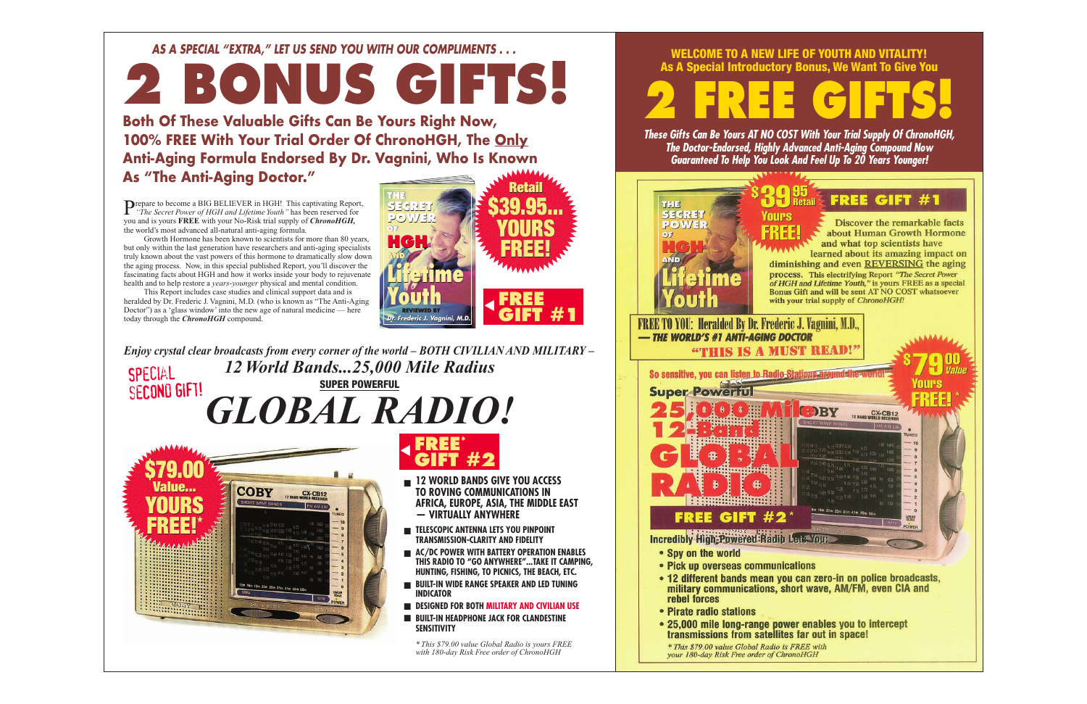#### WELCOME TO A NEW LIFE OF YOUTH AND VITALITY! As A Special Introductory Bonus, We Want To Give You

**2 FREE GIFTS!**

*These Gifts Can Be Yours AT NO COST With Your Trial Supply Of ChronoHGH, The Doctor-Endorsed, Highly Advanced Anti-Aging Compound Now Guaranteed To Help You Look And Feel Up To 20 Years Younger!*





- 
- 
- rebel forces
- Pirate radio stations
- 25,000 mile long-range power enables you to intercept transmissions from satellites far out in space!

\* This \$79.00 value Global Radio is FREE with your 180-day Risk Free order of ChronoHGH



**Discover the remarkable facts** about Human Growth Hormone and what top scientists have learned about its amazing impact on

#### *AS A SPECIAL "EXTRA," LET US SEND YOU WITH OUR COMPLIMENTS . . .*

# **2 BONUS GIFTS!**

Prepare to become a BIG BELIEVER in HGH! This captivating Report, "*The Secret Power of HGH and Lifetime Youth*" has been reserved for you and is yours **FREE** with your No-Risk trial supply of *ChronoHGH,* the world's most advanced all-natural anti-aging formula.

*Enjoy crystal clear broadcasts from every corner of the world – BOTH CIVILIAN AND MILITARY – 12 World Bands...25,000 Mile Radius GLOBAL RADIO!* FREE!<br>
FINE STORES<br>
The Channel School of the new age of natural medicine — here<br>
FREE<br>
FREE!<br>
FREE!<br>
FREE!<br>
FREE!<br>
FREE!<br>
FREE!<br>
FREE!<br>
FREE!<br>
FREE!<br>
FREE!<br>
FREE!<br>
FREE!<br>
FREE!<br>
FREE!<br>
FREE!<br>
FREE!<br>
FREE!<br>
FREE!<br>
FREE!<br>
F SPECIAL TEXT TO THE SUPER POWERFUL<br>SUPER POWERFUL SECOND GIFT!

Growth Hormone has been known to scientists for more than 80 years, but only within the last generation have researchers and anti-aging specialists truly known about the vast powers of this hormone to dramatically slow down the aging process. Now, in this special published Report, you'll discover the fascinating facts about HGH and how it works inside your body to rejuvenate health and to help restore a *years-younger* physical and mental condition.

**Both Of These Valuable Gifts Can Be Yours Right Now, 100% FREE With Your Trial Order Of ChronoHGH, The Only Anti-Aging Formula Endorsed By Dr. Vagnini, Who Is Known As "The Anti-Aging Doctor."** Retail Retail

This Report includes case studies and clinical support data and is heralded by Dr. Frederic J. Vagnini, M.D. (who is known as "The Anti-Aging Doctor") as a 'glass window' into the new age of natural medicine — here today through the *ChronoHGH* compound.

**THE SECRET**  $P$ <sup>O</sup> $)$ <sup>1</sup> **OF**

**HGH AND**

**CH** 

**Lifetime**

**Lifetime**<br><u>Youth</u>

**REVIEWED BY Dr. Frederic J. Vagni** 



\$39.95...

YOURS

**\$39.95...<br>Mours<br>, Free! ..** 

FREE!

**SIFT #1** 

**12 WORLD BANDS GIVE YOU ACCESS TO ROVING COMMUNICATIONS IN AFRICA, EUROPE, ASIA, THE MIDDLE EAST — VIRTUALLY ANYWHERE**

- **TELESCOPIC ANTENNA LETS YOU PINPOINT TRANSMISSION-CLARITY AND FIDELITY**
- **AC/DC POWER WITH BATTERY OPERATION ENABLES THIS RADIO TO "GO ANYWHERE"...TAKE IT CAMPING, HUNTING, FISHING, TO PICNICS, THE BEACH, ETC.**
- **BUILT-IN WIDE RANGE SPEAKER AND LED TUNING INDICATOR**
- **DESIGNED FOR BOTH MILITARY AND CIVILIAN USE**
- **BUILT-IN HEADPHONE JACK FOR CLANDESTINE SENSITIVITY**

*\* This \$79.00 value Global Radio is yours FREE with 180-day Risk Free order of ChronoHGH*